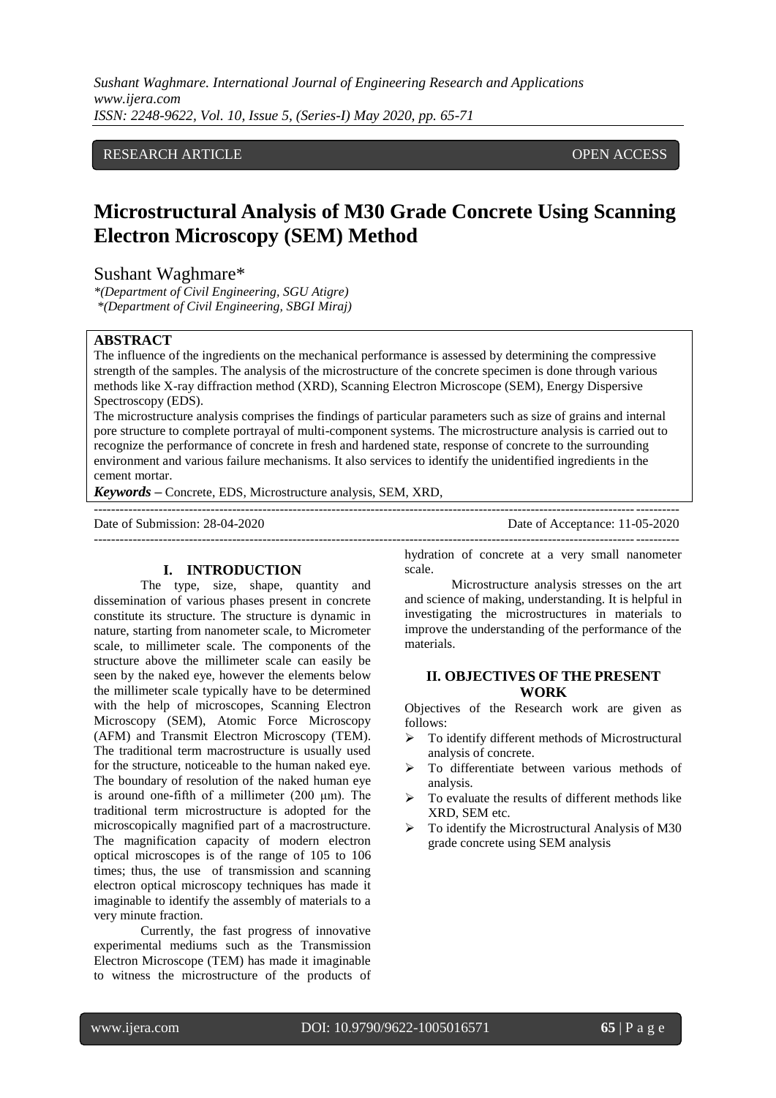*Sushant Waghmare. International Journal of Engineering Research and Applications www.ijera.com ISSN: 2248-9622, Vol. 10, Issue 5, (Series-I) May 2020, pp. 65-71*

# RESEARCH ARTICLE **CONSERVERS** OPEN ACCESS

# **Microstructural Analysis of M30 Grade Concrete Using Scanning Electron Microscopy (SEM) Method**

# Sushant Waghmare\*

*\*(Department of Civil Engineering, SGU Atigre) \*(Department of Civil Engineering, SBGI Miraj)*

### **ABSTRACT**

The influence of the ingredients on the mechanical performance is assessed by determining the compressive strength of the samples. The analysis of the microstructure of the concrete specimen is done through various methods like X-ray diffraction method (XRD), Scanning Electron Microscope (SEM), Energy Dispersive Spectroscopy (EDS).

The microstructure analysis comprises the findings of particular parameters such as size of grains and internal pore structure to complete portrayal of multi-component systems. The microstructure analysis is carried out to recognize the performance of concrete in fresh and hardened state, response of concrete to the surrounding environment and various failure mechanisms. It also services to identify the unidentified ingredients in the cement mortar.

---------------------------------------------------------------------------------------------------------------------------------------

*Keywords* **–** Concrete, EDS, Microstructure analysis, SEM, XRD, ---------------------------------------------------------------------------------------------------------------------------------------

Date of Submission: 28-04-2020 Date of Acceptance: 11-05-2020

# **I. INTRODUCTION**

The type, size, shape, quantity and dissemination of various phases present in concrete constitute its structure. The structure is dynamic in nature, starting from nanometer scale, to Micrometer scale, to millimeter scale. The components of the structure above the millimeter scale can easily be seen by the naked eye, however the elements below the millimeter scale typically have to be determined with the help of microscopes, Scanning Electron Microscopy (SEM), Atomic Force Microscopy (AFM) and Transmit Electron Microscopy (TEM). The traditional term macrostructure is usually used for the structure, noticeable to the human naked eye. The boundary of resolution of the naked human eye is around one-fifth of a millimeter (200 μm). The traditional term microstructure is adopted for the microscopically magnified part of a macrostructure. The magnification capacity of modern electron optical microscopes is of the range of 105 to 106 times; thus, the use of transmission and scanning electron optical microscopy techniques has made it imaginable to identify the assembly of materials to a very minute fraction.

Currently, the fast progress of innovative experimental mediums such as the Transmission Electron Microscope (TEM) has made it imaginable to witness the microstructure of the products of hydration of concrete at a very small nanometer scale.

Microstructure analysis stresses on the art and science of making, understanding. It is helpful in investigating the microstructures in materials to improve the understanding of the performance of the materials.

#### **II. OBJECTIVES OF THE PRESENT WORK**

Objectives of the Research work are given as follows:

- To identify different methods of Microstructural analysis of concrete.
- > To differentiate between various methods of analysis.
- $\triangleright$  To evaluate the results of different methods like XRD, SEM etc.
- $\triangleright$  To identify the Microstructural Analysis of M30 grade concrete using SEM analysis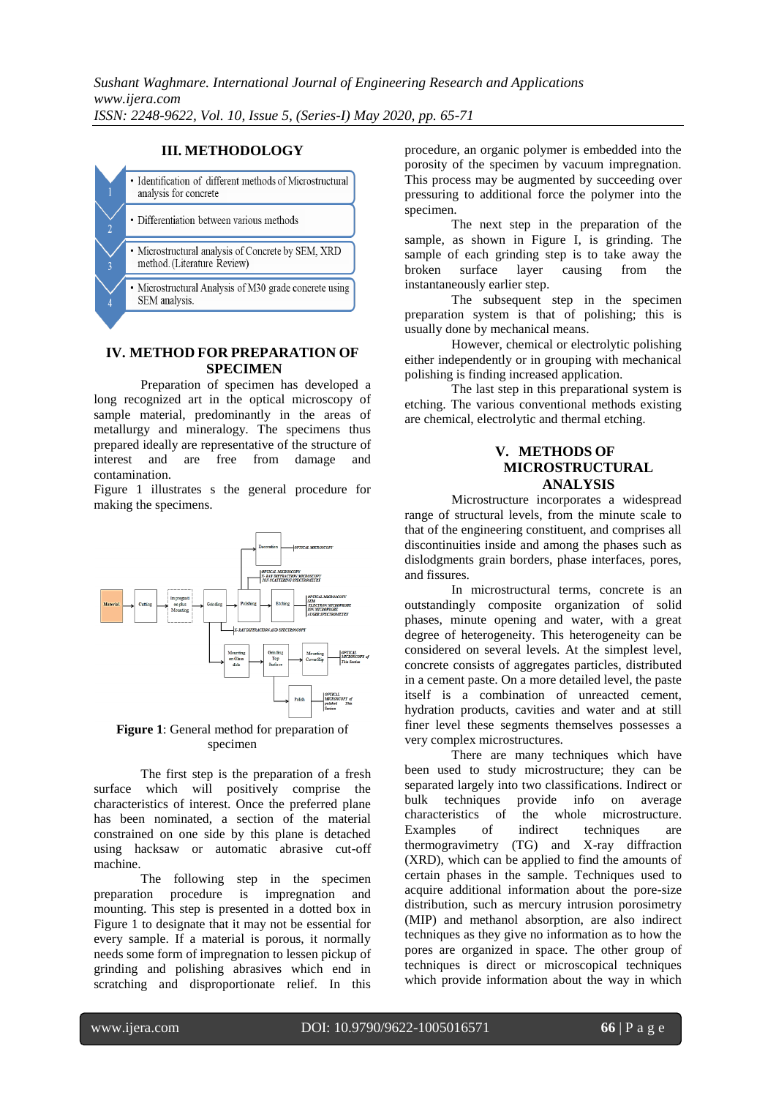### **III. METHODOLOGY**



# **IV. METHOD FOR PREPARATION OF SPECIMEN**

Preparation of specimen has developed a long recognized art in the optical microscopy of sample material, predominantly in the areas of metallurgy and mineralogy. The specimens thus prepared ideally are representative of the structure of interest and are free from damage and contamination.

Figure 1 illustrates s the general procedure for making the specimens.



**Figure 1**: General method for preparation of specimen

The first step is the preparation of a fresh surface which will positively comprise the characteristics of interest. Once the preferred plane has been nominated, a section of the material constrained on one side by this plane is detached using hacksaw or automatic abrasive cut-off machine.

The following step in the specimen preparation procedure is impregnation and mounting. This step is presented in a dotted box in Figure 1 to designate that it may not be essential for every sample. If a material is porous, it normally needs some form of impregnation to lessen pickup of grinding and polishing abrasives which end in scratching and disproportionate relief. In this

procedure, an organic polymer is embedded into the porosity of the specimen by vacuum impregnation. This process may be augmented by succeeding over pressuring to additional force the polymer into the specimen.

The next step in the preparation of the sample, as shown in Figure I, is grinding. The sample of each grinding step is to take away the broken surface layer causing from the broken surface layer causing from the instantaneously earlier step.

The subsequent step in the specimen preparation system is that of polishing; this is usually done by mechanical means.

However, chemical or electrolytic polishing either independently or in grouping with mechanical polishing is finding increased application.

The last step in this preparational system is etching. The various conventional methods existing are chemical, electrolytic and thermal etching.

# **V. METHODS OF MICROSTRUCTURAL ANALYSIS**

Microstructure incorporates a widespread range of structural levels, from the minute scale to that of the engineering constituent, and comprises all discontinuities inside and among the phases such as dislodgments grain borders, phase interfaces, pores, and fissures.

In microstructural terms, concrete is an outstandingly composite organization of solid phases, minute opening and water, with a great degree of heterogeneity. This heterogeneity can be considered on several levels. At the simplest level, concrete consists of aggregates particles, distributed in a cement paste. On a more detailed level, the paste itself is a combination of unreacted cement, hydration products, cavities and water and at still finer level these segments themselves possesses a very complex microstructures.

There are many techniques which have been used to study microstructure; they can be separated largely into two classifications. Indirect or<br>bulk techniques provide info on average bulk techniques provide info on average characteristics of the whole microstructure. Examples of indirect techniques are thermogravimetry (TG) and X-ray diffraction (XRD), which can be applied to find the amounts of certain phases in the sample. Techniques used to acquire additional information about the pore-size distribution, such as mercury intrusion porosimetry (MIP) and methanol absorption, are also indirect techniques as they give no information as to how the pores are organized in space. The other group of techniques is direct or microscopical techniques which provide information about the way in which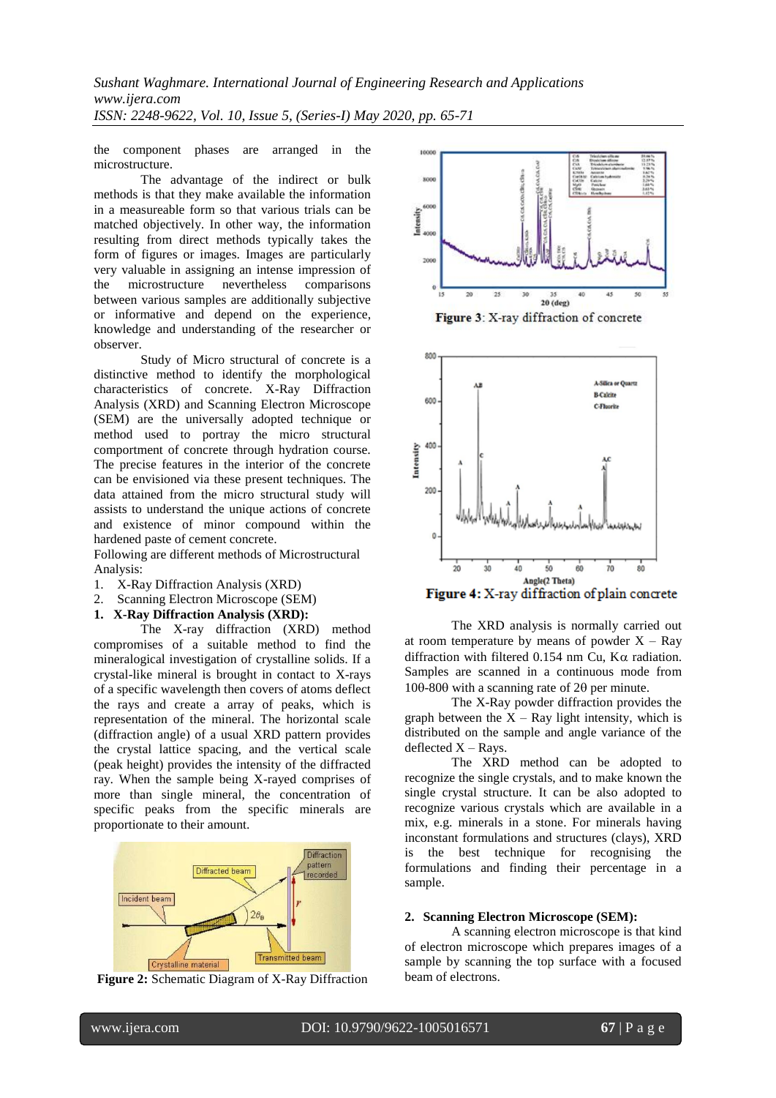the component phases are arranged in the microstructure.

The advantage of the indirect or bulk methods is that they make available the information in a measureable form so that various trials can be matched objectively. In other way, the information resulting from direct methods typically takes the form of figures or images. Images are particularly very valuable in assigning an intense impression of the microstructure nevertheless comparisons between various samples are additionally subjective or informative and depend on the experience, knowledge and understanding of the researcher or observer.

Study of Micro structural of concrete is a distinctive method to identify the morphological characteristics of concrete. X-Ray Diffraction Analysis (XRD) and Scanning Electron Microscope (SEM) are the universally adopted technique or method used to portray the micro structural comportment of concrete through hydration course. The precise features in the interior of the concrete can be envisioned via these present techniques. The data attained from the micro structural study will assists to understand the unique actions of concrete and existence of minor compound within the hardened paste of cement concrete.

Following are different methods of Microstructural Analysis:

- 1. X-Ray Diffraction Analysis (XRD)
- 2. Scanning Electron Microscope (SEM)
- **1. X-Ray Diffraction Analysis (XRD):**

The X-ray diffraction (XRD) method compromises of a suitable method to find the mineralogical investigation of crystalline solids. If a crystal-like mineral is brought in contact to X-rays of a specific wavelength then covers of atoms deflect the rays and create a array of peaks, which is representation of the mineral. The horizontal scale (diffraction angle) of a usual XRD pattern provides the crystal lattice spacing, and the vertical scale (peak height) provides the intensity of the diffracted ray. When the sample being X-rayed comprises of more than single mineral, the concentration of specific peaks from the specific minerals are proportionate to their amount.



**Figure 2:** Schematic Diagram of X-Ray Diffraction





Figure 4: X-ray diffraction of plain concrete

The XRD analysis is normally carried out at room temperature by means of powder  $X - Ray$ diffraction with filtered 0.154 nm Cu,  $K\alpha$  radiation. Samples are scanned in a continuous mode from  $100-800$  with a scanning rate of  $20$  per minute.

The X-Ray powder diffraction provides the graph between the  $X - Ray$  light intensity, which is distributed on the sample and angle variance of the deflected  $X - Rays$ .

The XRD method can be adopted to recognize the single crystals, and to make known the single crystal structure. It can be also adopted to recognize various crystals which are available in a mix, e.g. minerals in a stone. For minerals having inconstant formulations and structures (clays), XRD is the best technique for recognising the formulations and finding their percentage in a sample.

#### **2. Scanning Electron Microscope (SEM):**

A scanning electron microscope is that kind of electron microscope which prepares images of a sample by scanning the top surface with a focused beam of electrons.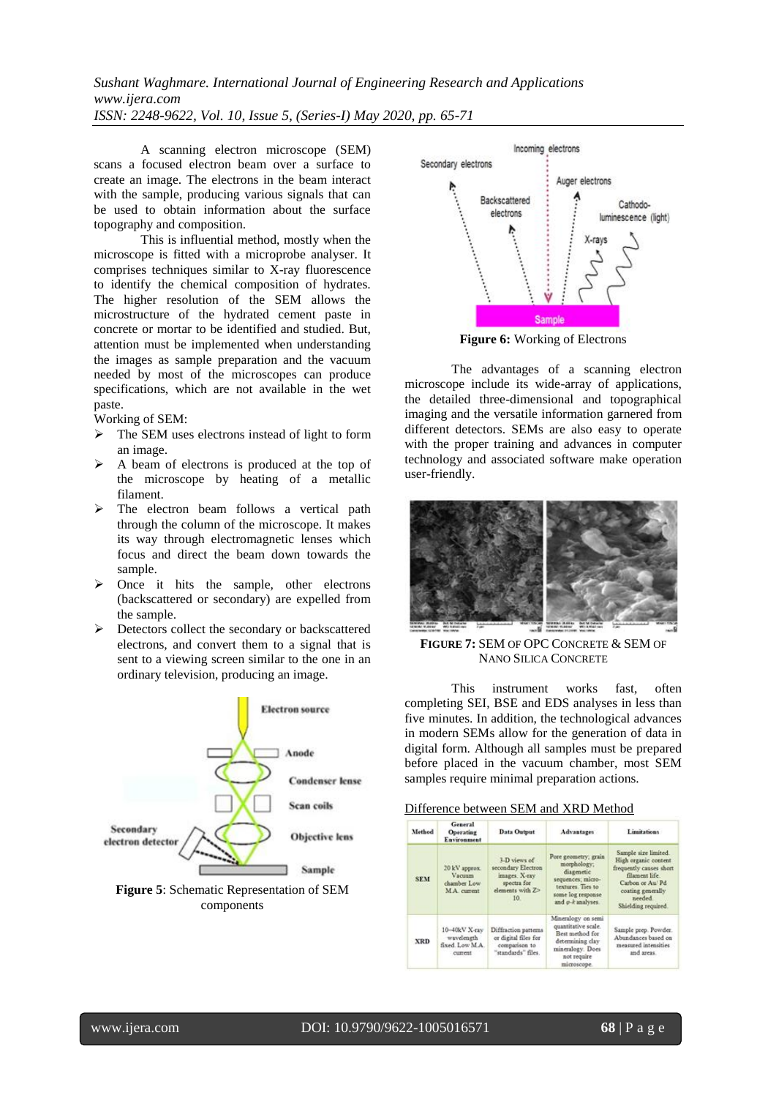*Sushant Waghmare. International Journal of Engineering Research and Applications www.ijera.com ISSN: 2248-9622, Vol. 10, Issue 5, (Series-I) May 2020, pp. 65-71*

A scanning electron microscope (SEM) scans a focused electron beam over a surface to create an image. The electrons in the beam interact with the sample, producing various signals that can be used to obtain information about the surface topography and composition.

This is influential method, mostly when the microscope is fitted with a microprobe analyser. It comprises techniques similar to X-ray fluorescence to identify the chemical composition of hydrates. The higher resolution of the SEM allows the microstructure of the hydrated cement paste in concrete or mortar to be identified and studied. But, attention must be implemented when understanding the images as sample preparation and the vacuum needed by most of the microscopes can produce specifications, which are not available in the wet paste.

Working of SEM:

- > The SEM uses electrons instead of light to form an image.
- $\triangleright$  A beam of electrons is produced at the top of the microscope by heating of a metallic filament.
- $\triangleright$  The electron beam follows a vertical path through the column of the microscope. It makes its way through electromagnetic lenses which focus and direct the beam down towards the sample.
- $\triangleright$  Once it hits the sample, other electrons (backscattered or secondary) are expelled from the sample.
- $\triangleright$  Detectors collect the secondary or backscattered electrons, and convert them to a signal that is sent to a viewing screen similar to the one in an ordinary television, producing an image.





**Figure 6:** Working of Electrons

The advantages of a scanning electron microscope include its wide-array of applications, the detailed three-dimensional and topographical imaging and the versatile information garnered from different detectors. SEMs are also easy to operate with the proper training and advances in computer technology and associated software make operation user-friendly.



**FIGURE 7:** SEM OF OPC CONCRETE & SEM OF NANO SILICA CONCRETE

This instrument works fast, often completing SEI, BSE and EDS analyses in less than five minutes. In addition, the technological advances in modern SEMs allow for the generation of data in digital form. Although all samples must be prepared before placed in the vacuum chamber, most SEM samples require minimal preparation actions.

| Difference between SEM and XRD Method |  |  |  |
|---------------------------------------|--|--|--|
|                                       |  |  |  |

| Method     | General<br>Operating<br>Environment                           | Data Output                                                                                   | <b>Advantages</b>                                                                                                                     | <b>Linuitations</b>                                                                                                                                                |
|------------|---------------------------------------------------------------|-----------------------------------------------------------------------------------------------|---------------------------------------------------------------------------------------------------------------------------------------|--------------------------------------------------------------------------------------------------------------------------------------------------------------------|
| <b>SEM</b> | 20 kV approx.<br><b>Vacuum</b><br>chamber Low<br>M.A. current | 3-D views of<br>secondary Electron<br>images. X-ray<br>spectra for<br>elements with Z><br>10. | Pore geometry; grain<br>morphology;<br>diagenetic<br>sequences; micro-<br>textures. Ties to<br>some log response<br>and o-k analyses. | Sample size limited.<br>High organic content<br>frequently causes short<br>filament life<br>Carbon or Au/Pd<br>coating generally<br>needed.<br>Shielding required. |
| <b>XRD</b> | 10-40kV X-ray<br>wavelength<br>fixed Low MA<br>current        | Diffraction patterns<br>or digital files for<br>companison to<br>"standards" files.           | Mineralogy on semi<br>quantitative scale.<br>Best method for<br>determining clay<br>mineralogy. Does<br>not require<br>microscope.    | Sample prep. Powder.<br>Abundances based on<br>measured intensities<br>and areas.                                                                                  |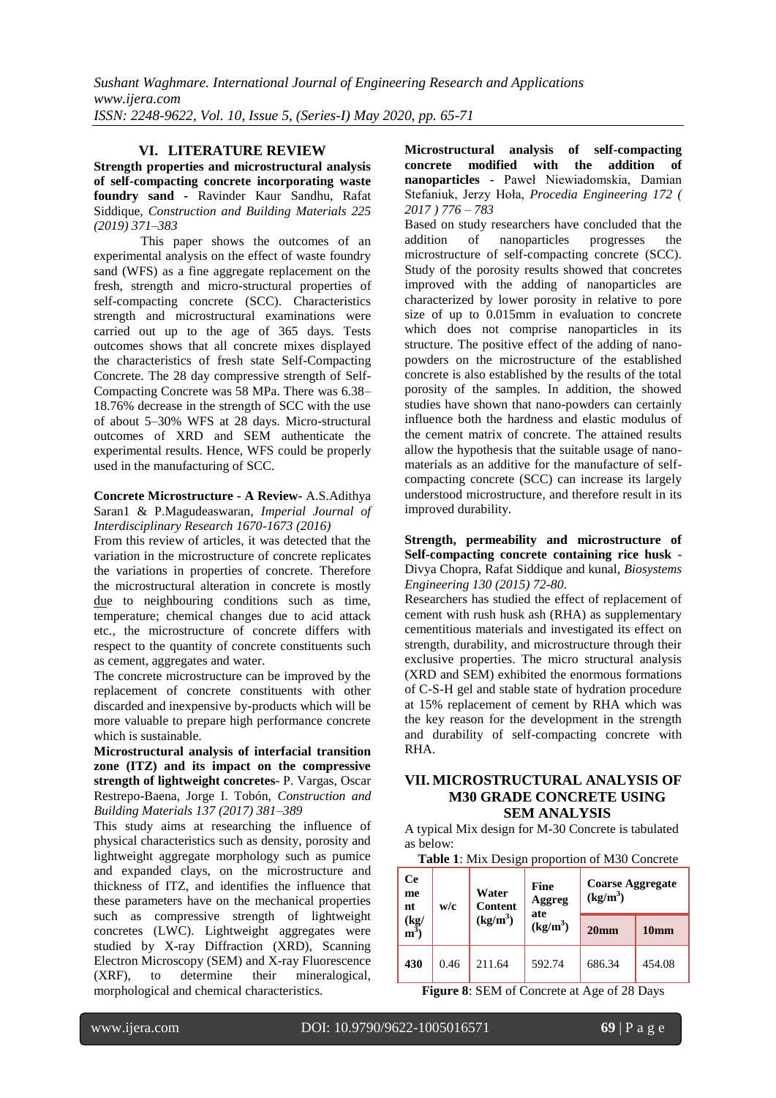#### **VI. LITERATURE REVIEW**

**Strength properties and microstructural analysis of self-compacting concrete incorporating waste foundry sand -** Ravinder Kaur Sandhu, Rafat Siddique, *Construction and Building Materials 225 (2019) 371–383*

This paper shows the outcomes of an experimental analysis on the effect of waste foundry sand (WFS) as a fine aggregate replacement on the fresh, strength and micro-structural properties of self-compacting concrete (SCC). Characteristics strength and microstructural examinations were carried out up to the age of 365 days. Tests outcomes shows that all concrete mixes displayed the characteristics of fresh state Self-Compacting Concrete. The 28 day compressive strength of Self-Compacting Concrete was 58 MPa. There was 6.38– 18.76% decrease in the strength of SCC with the use of about 5–30% WFS at 28 days. Micro-structural outcomes of XRD and SEM authenticate the experimental results. Hence, WFS could be properly used in the manufacturing of SCC.

#### **Concrete Microstructure - A Review-** A.S.Adithya Saran1 & P.Magudeaswaran, *Imperial Journal of Interdisciplinary Research 1670-1673 (2016)*

From this review of articles, it was detected that the variation in the microstructure of concrete replicates the variations in properties of concrete. Therefore the microstructural alteration in concrete is mostly due to neighbouring conditions such as time, temperature; chemical changes due to acid attack etc., the microstructure of concrete differs with respect to the quantity of concrete constituents such as cement, aggregates and water.

The concrete microstructure can be improved by the replacement of concrete constituents with other discarded and inexpensive by-products which will be more valuable to prepare high performance concrete which is sustainable.

**Microstructural analysis of interfacial transition zone (ITZ) and its impact on the compressive strength of lightweight concretes**- P. Vargas, Oscar Restrepo-Baena, Jorge I. Tobón, *Construction and Building Materials 137 (2017) 381–389*

This study aims at researching the influence of physical characteristics such as density, porosity and lightweight aggregate morphology such as pumice and expanded clays, on the microstructure and thickness of ITZ, and identifies the influence that these parameters have on the mechanical properties such as compressive strength of lightweight concretes (LWC). Lightweight aggregates were studied by X-ray Diffraction (XRD), Scanning Electron Microscopy (SEM) and X-ray Fluorescence (XRF), to determine their mineralogical, morphological and chemical characteristics.

**Microstructural analysis of self-compacting concrete modified with the addition of nanoparticles** - Paweł Niewiadomskia, Damian Stefaniuk, Jerzy Hoła, *Procedia Engineering 172 ( 2017 ) 776 – 783*

Based on study researchers have concluded that the addition of nanoparticles progresses the nanoparticles progresses the microstructure of self-compacting concrete (SCC). Study of the porosity results showed that concretes improved with the adding of nanoparticles are characterized by lower porosity in relative to pore size of up to 0.015mm in evaluation to concrete which does not comprise nanoparticles in its structure. The positive effect of the adding of nanopowders on the microstructure of the established concrete is also established by the results of the total porosity of the samples. In addition, the showed studies have shown that nano-powders can certainly influence both the hardness and elastic modulus of the cement matrix of concrete. The attained results allow the hypothesis that the suitable usage of nanomaterials as an additive for the manufacture of selfcompacting concrete (SCC) can increase its largely understood microstructure, and therefore result in its improved durability.

#### **Strength, permeability and microstructure of Self-compacting concrete containing rice husk** - Divya Chopra, Rafat Siddique and kunal, *Biosystems Engineering 130 (2015) 72-80*.

Researchers has studied the effect of replacement of cement with rush husk ash (RHA) as supplementary cementitious materials and investigated its effect on strength, durability, and microstructure through their exclusive properties. The micro structural analysis (XRD and SEM) exhibited the enormous formations of C-S-H gel and stable state of hydration procedure at 15% replacement of cement by RHA which was the key reason for the development in the strength and durability of self-compacting concrete with RHA.

# **VII. MICROSTRUCTURAL ANALYSIS OF M30 GRADE CONCRETE USING SEM ANALYSIS**

A typical Mix design for M-30 Concrete is tabulated as below:

|  | <b>Table 1:</b> Mix Design proportion of M30 Concrete |
|--|-------------------------------------------------------|
|  |                                                       |

| <b>Ce</b><br>me<br>nt            | w/c  | Water<br>Content<br>$(kg/m^3)$ | Fine<br>Aggreg<br>ate | <b>Coarse Aggregate</b><br>$(kg/m^3)$ |                  |
|----------------------------------|------|--------------------------------|-----------------------|---------------------------------------|------------------|
| $\frac{(\text{kg})}{\text{m}^3}$ |      |                                | (kg/m <sup>3</sup> )  | 20 <sub>mm</sub>                      | 10 <sub>mm</sub> |
| 430                              | 0.46 | 211.64                         | 592.74                | 686.34                                | 454.08           |

**Figure 8**: SEM of Concrete at Age of 28 Days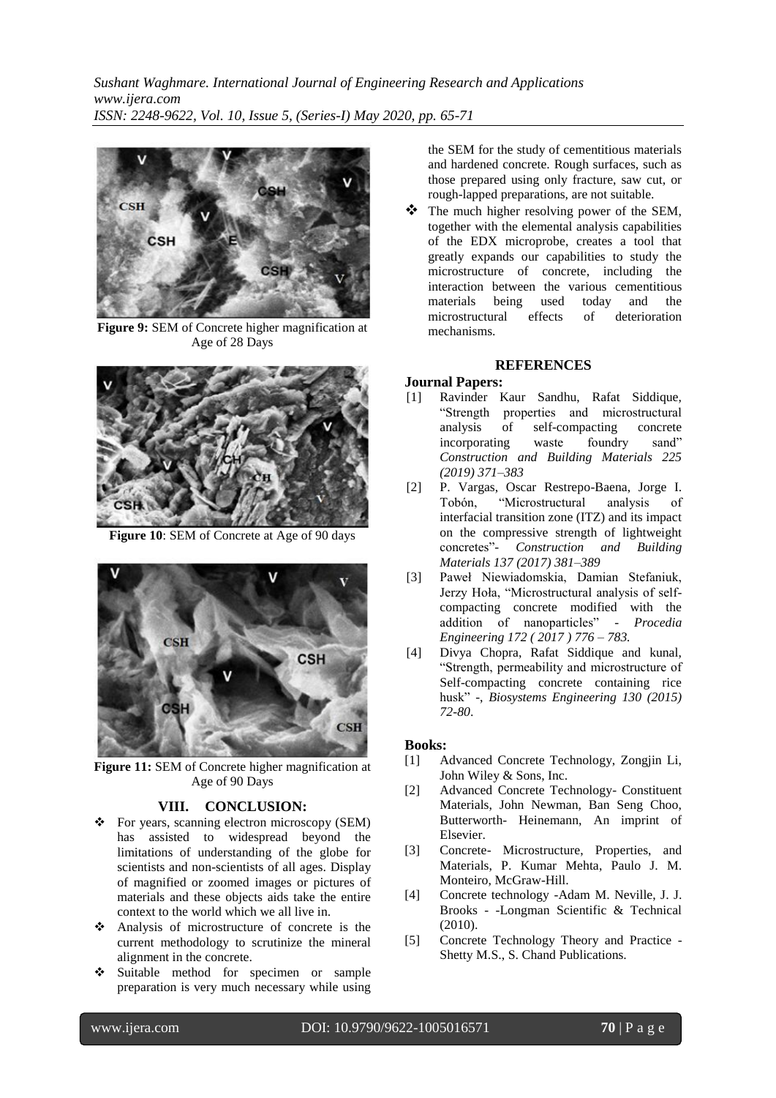*Sushant Waghmare. International Journal of Engineering Research and Applications www.ijera.com ISSN: 2248-9622, Vol. 10, Issue 5, (Series-I) May 2020, pp. 65-71*



**Figure 9:** SEM of Concrete higher magnification at Age of 28 Days



**Figure 10**: SEM of Concrete at Age of 90 days



**Figure 11:** SEM of Concrete higher magnification at Age of 90 Days

#### **VIII. CONCLUSION:**

- For years, scanning electron microscopy (SEM) has assisted to widespread beyond the limitations of understanding of the globe for scientists and non-scientists of all ages. Display of magnified or zoomed images or pictures of materials and these objects aids take the entire context to the world which we all live in.
- Analysis of microstructure of concrete is the current methodology to scrutinize the mineral alignment in the concrete.
- Suitable method for specimen or sample preparation is very much necessary while using

the SEM for the study of cementitious materials and hardened concrete. Rough surfaces, such as those prepared using only fracture, saw cut, or rough-lapped preparations, are not suitable.

The much higher resolving power of the SEM, together with the elemental analysis capabilities of the EDX microprobe, creates a tool that greatly expands our capabilities to study the microstructure of concrete, including the interaction between the various cementitious materials being used today and the<br>microstructural effects of deterioration microstructural mechanisms.

#### **REFERENCES**

#### **Journal Papers:**

- [1] Ravinder Kaur Sandhu, Rafat Siddique, "Strength properties and microstructural analysis of self-compacting concrete incorporating waste foundry sand" *Construction and Building Materials 225 (2019) 371–383*
- [2] P. Vargas, Oscar Restrepo-Baena, Jorge I. Tobón, "Microstructural analysis of interfacial transition zone (ITZ) and its impact on the compressive strength of lightweight concretes"- *Construction and Building Materials 137 (2017) 381–389*
- [3] Paweł Niewiadomskia, Damian Stefaniuk, Jerzy Hoła, "Microstructural analysis of selfcompacting concrete modified with the addition of nanoparticles" - *Procedia Engineering 172 ( 2017 ) 776 – 783.*
- [4] Divya Chopra, Rafat Siddique and kunal, "Strength, permeability and microstructure of Self-compacting concrete containing rice husk" -, *Biosystems Engineering 130 (2015) 72-80*.

#### **Books:**

- [1] Advanced Concrete Technology, Zongjin Li, John Wiley & Sons, Inc.
- [2] Advanced Concrete Technology- Constituent Materials, John Newman, Ban Seng Choo, Butterworth- Heinemann, An imprint of Elsevier.
- [3] Concrete- Microstructure, Properties, and Materials, P. Kumar Mehta, Paulo J. M. Monteiro, McGraw-Hill.
- [4] Concrete technology -Adam M. Neville, J. J. Brooks - -Longman Scientific & Technical (2010).
- [5] Concrete Technology Theory and Practice Shetty M.S., S. Chand Publications.